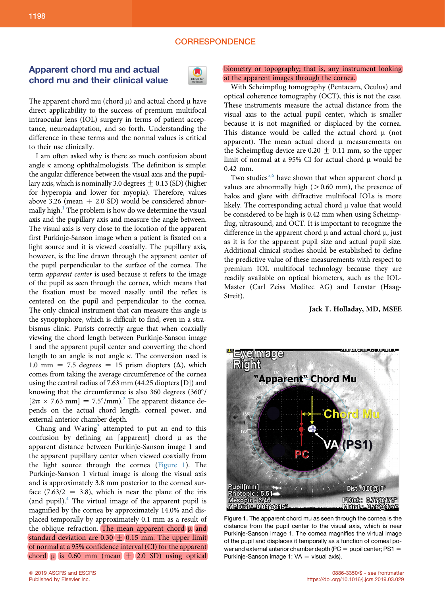## **CORRESPONDENCE**

## Apparent chord mu and actual chord mu and their clinical value



The apparent chord mu (chord  $\mu$ ) and actual chord  $\mu$  have direct applicability to the success of premium multifocal intraocular lens (IOL) surgery in terms of patient acceptance, neuroadaptation, and so forth. Understanding the difference in these terms and the normal values is critical to their use clinically.

I am often asked why is there so much confusion about angle  $\kappa$  among ophthalmologists. The definition is simple: the angular difference between the visual axis and the pupillary axis, which is nominally 3.0 degrees  $\pm$  0.13 (SD) (higher for hyperopia and lower for myopia). Therefore, values above 3.26 (mean  $+$  2.0 SD) would be considered abnor-mally high.<sup>[1](#page-1-0)</sup> The problem is how do we determine the visual axis and the pupillary axis and measure the angle between. The visual axis is very close to the location of the apparent first Purkinje-Sanson image when a patient is fixated on a light source and it is viewed coaxially. The pupillary axis, however, is the line drawn through the apparent center of the pupil perpendicular to the surface of the cornea. The term apparent center is used because it refers to the image of the pupil as seen through the cornea, which means that the fixation must be moved nasally until the reflex is centered on the pupil and perpendicular to the cornea. The only clinical instrument that can measure this angle is the synoptophore, which is difficult to find, even in a strabismus clinic. Purists correctly argue that when coaxially viewing the chord length between Purkinje-Sanson image 1 and the apparent pupil center and converting the chord length to an angle is not angle k. The conversion used is 1.0 mm = 7.5 degrees = 15 prism diopters  $(\Delta)$ , which comes from taking the average circumference of the cornea using the central radius of 7.63 mm (44.25 diopters [D]) and knowing that the circumference is also 360 degrees  $(360^\circ)$  $[2\pi \times 7.63 \text{ mm}] = 7.5^{\circ}/\text{mm}$ .<sup>2</sup> The apparent distance depends on the actual chord length, corneal power, and external anterior chamber depth.

Chang and Waring<sup>[3](#page-1-0)</sup> attempted to put an end to this confusion by defining an [apparent] chord  $\mu$  as the apparent distance between Purkinje-Sanson image 1 and the apparent pupillary center when viewed coaxially from the light source through the cornea (Figure 1). The Purkinje-Sanson 1 virtual image is along the visual axis and is approximately 3.8 mm posterior to the corneal surface  $(7.63/2 = 3.8)$ , which is near the plane of the iris (and pupil). $<sup>4</sup>$  $<sup>4</sup>$  $<sup>4</sup>$  The virtual image of the apparent pupil is</sup> magnified by the cornea by approximately 14.0% and displaced temporally by approximately 0.1 mm as a result of the oblique refraction. The mean apparent chord  $\mu$  and standard deviation are  $0.30 \pm 0.15$  mm. The upper limit of normal at a 95% confidence interval (CI) for the apparent chord  $\mu$  is 0.60 mm (mean  $+$  2.0 SD) using optical

## biometry or topography; that is, any instrument looking at the apparent images through the cornea.

With Scheimpflug tomography (Pentacam, Oculus) and optical coherence tomography (OCT), this is not the case. These instruments measure the actual distance from the visual axis to the actual pupil center, which is smaller because it is not magnified or displaced by the cornea. This distance would be called the actual chord  $\mu$  (not apparent). The mean actual chord  $\mu$  measurements on the Scheimpflug device are  $0.20 \pm 0.11$  mm, so the upper limit of normal at a 95% CI for actual chord  $\mu$  would be 0.42 mm.

Two studies<sup>[5,6](#page-1-0)</sup> have shown that when apparent chord  $\mu$ values are abnormally high  $(>0.60$  mm), the presence of halos and glare with diffractive multifocal IOLs is more likely. The corresponding actual chord  $\mu$  value that would be considered to be high is 0.42 mm when using Scheimpflug, ultrasound, and OCT. It is important to recognize the difference in the apparent chord  $\mu$  and actual chord  $\mu$ , just as it is for the apparent pupil size and actual pupil size. Additional clinical studies should be established to define the predictive value of these measurements with respect to premium IOL multifocal technology because they are readily available on optical biometers, such as the IOL-Master (Carl Zeiss Meditec AG) and Lenstar (Haag-Streit).

Jack T. Holladay, MD, MSEE



Figure 1. The apparent chord mu as seen through the cornea is the distance from the pupil center to the visual axis, which is near Purkinje-Sanson image 1. The cornea magnifies the virtual image of the pupil and displaces it temporally as a function of corneal power and external anterior chamber depth (PC  $=$  pupil center; PS1  $=$ Purkinje-Sanson image 1;  $VA =$  visual axis).